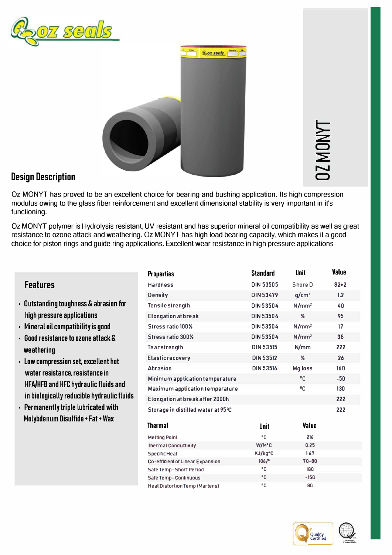



**C) r-,..J C)** 

## **Design Description**

Oz MONYT has proved to be an excellent choice for bearing and bushing application. Its high compression modulus owing to the glass fiber reinforcement and excellent dimensional stability is very important in it's functioning.

Oz MONYT polymer is Hydrolysis resistant, UV resistant and has superior mineral oil compatibility as well as great resistance to ozone attack and weathering. Oz MONYT has high load bearing capacity, which makes it a good choice for piston rings and guide ring applications. Excellent wear resistance in high pressure applications

|                                                                       | <b>Properties</b>                       | <b>Standard</b>  | Unit              | <b>Value</b> |
|-----------------------------------------------------------------------|-----------------------------------------|------------------|-------------------|--------------|
| <b>Features</b>                                                       | <b>Hardness</b>                         | <b>DIN 53505</b> | Shore D           | $82 + 2$     |
|                                                                       | Density                                 | <b>DIN 53479</b> | g/cm <sup>3</sup> | 1.2          |
| <b>Outstanding toughness &amp; abrasion for</b>                       | Tensile strength                        | <b>DIN 53504</b> | $N/mm^2$          | 40           |
| high pressure applications                                            | <b>Elongation at break</b>              | <b>DIN 53504</b> | $\%$              | 95           |
| Mineral oil compatibility is good                                     | <b>Stress ratio 100%</b>                | <b>DIN 53504</b> | N/mm <sup>2</sup> | 17           |
| Good resistance to ozone attack &                                     | <b>Stress ratio 300%</b>                | <b>DIN 53504</b> | N/mm <sup>2</sup> | 38           |
| weathering                                                            | <b>Tearstrength</b>                     | <b>DIN 53515</b> | N/mm              | 222          |
| Low compression set, excellent hot<br>water resistance, resistance in | Elasticrecovery                         | <b>DIN 53512</b> | $\%$              | 26           |
|                                                                       | <b>Abrasion</b>                         | <b>DIN 53516</b> | Mg loss           | 160          |
|                                                                       | Minimum application temperature         |                  | <sup>0</sup> C    | $-50$        |
| HFA/HFB and HFC hydraulic fluids and                                  | Maximum application temperature         |                  | °C                | 130          |
| in biologically reducible hydraulic fluids                            | Elongation at break after 2000h         |                  |                   | 222          |
| Permanently triple lubricated with                                    | Storage in distilled water at 95 °C     |                  |                   | 222          |
| Molybdenum Disulfide + Fat + Wax                                      |                                         |                  |                   |              |
|                                                                       | <b>Thermal</b>                          | <b>Unit</b>      | <b>Value</b>      |              |
|                                                                       | <b>Melting Point</b>                    | ۰c               | 216               |              |
|                                                                       | <b>Thermal Conductivity</b>             | W/M°C            | 0.25              |              |
|                                                                       | <b>Specific Heat</b>                    | KJ/kg°C          | 1.67              |              |
|                                                                       | <b>Co-efficient of Linear Expansion</b> | 106/°            | $70 - 80$         |              |
|                                                                       | <b>Safe Temp-Short Period</b>           | ۰c               | 180               |              |
|                                                                       | <b>Safe Temp-Continuous</b>             | ۰c               | $-150$            |              |
|                                                                       | <b>Heat Distortion Temp (Martens)</b>   | ۰c               | 80                |              |

- **•** Outstanding toughness & abrasion for **high pressure applications**
- **•** Mineral oil compatibility is good
- **• Good resistance to ozone attack & Stress ratio 300% DIN 53504**
- **Low compression set, excellent hot water resistance, resistance in HFA/HFB and HFC hydraulic fluids and in biologically reducible hydraulic flu**
- **•** Permanently triple lubricated with **Molybdenum Disulfide+ Fat+ Wax**